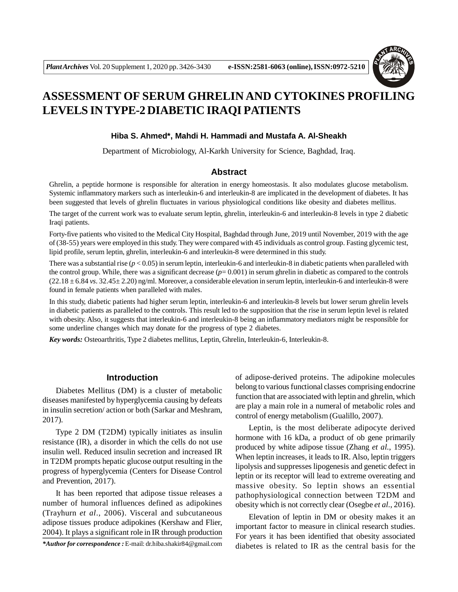

# **ASSESSMENT OF SERUM GHRELIN AND CYTOKINES PROFILING LEVELS IN TYPE-2 DIABETIC IRAQI PATIENTS**

#### **Hiba S. Ahmed\*, Mahdi H. Hammadi and Mustafa A. Al-Sheakh**

Department of Microbiology, Al-Karkh University for Science, Baghdad, Iraq.

## **Abstract**

Ghrelin, a peptide hormone is responsible for alteration in energy homeostasis. It also modulates glucose metabolism. Systemic inflammatory markers such as interleukin-6 and interleukin-8 are implicated in the development of diabetes. It has been suggested that levels of ghrelin fluctuates in various physiological conditions like obesity and diabetes mellitus.

The target of the current work was to evaluate serum leptin, ghrelin, interleukin-6 and interleukin-8 levels in type 2 diabetic Iraqi patients.

Forty-five patients who visited to the Medical City Hospital, Baghdad through June, 2019 until November, 2019 with the age of (38-55) years were employed in this study. They were compared with 45 individuals as control group. Fasting glycemic test, lipid profile, serum leptin, ghrelin, interleukin-6 and interleukin-8 were determined in this study.

There was a substantial rise ( $p < 0.05$ ) in serum leptin, interleukin-6 and interleukin-8 in diabetic patients when paralleled with the control group. While, there was a significant decrease  $(p= 0.001)$  in serum ghrelin in diabetic as compared to the controls (22.18 ± 6.84 *vs*. 32.45± 2.20) ng/ml. Moreover, a considerable elevation in serum leptin, interleukin-6 and interleukin-8 were found in female patients when paralleled with males.

In this study, diabetic patients had higher serum leptin, interleukin-6 and interleukin-8 levels but lower serum ghrelin levels in diabetic patients as paralleled to the controls. This result led to the supposition that the rise in serum leptin level is related with obesity. Also, it suggests that interleukin-6 and interleukin-8 being an inflammatory mediators might be responsible for some underline changes which may donate for the progress of type 2 diabetes.

*Key words:* Osteoarthritis, Type 2 diabetes mellitus, Leptin, Ghrelin, Interleukin-6, Interleukin-8.

## **Introduction**

Diabetes Mellitus (DM) is a cluster of metabolic diseases manifested by hyperglycemia causing by defeats in insulin secretion/ action or both (Sarkar and Meshram, 2017).

Type 2 DM (T2DM) typically initiates as insulin resistance (IR), a disorder in which the cells do not use insulin well. Reduced insulin secretion and increased IR in T2DM prompts hepatic glucose output resulting in the progress of hyperglycemia (Centers for Disease Control and Prevention, 2017).

It has been reported that adipose tissue releases a number of humoral influences defined as adipokines (Trayhurn *et al.*, 2006). Visceral and subcutaneous adipose tissues produce adipokines (Kershaw and Flier, 2004). It plays a significant role in IR through production of adipose-derived proteins. The adipokine molecules belong to various functional classes comprising endocrine function that are associated with leptin and ghrelin, which are play a main role in a numeral of metabolic roles and control of energy metabolism (Gualillo, 2007).

Leptin, is the most deliberate adipocyte derived hormone with 16 kDa, a product of ob gene primarily produced by white adipose tissue (Zhang *et al.*, 1995). When leptin increases, it leads to IR. Also, leptin triggers lipolysis and suppresses lipogenesis and genetic defect in leptin or its receptor will lead to extreme overeating and massive obesity. So leptin shows an essential pathophysiological connection between T2DM and obesity which is not correctly clear (Osegbe *et al.*, 2016).

Elevation of leptin in DM or obesity makes it an important factor to measure in clinical research studies. For years it has been identified that obesity associated \*Author for correspondence : E-mail: dr.hiba.shakir84@gmail.com diabetes is related to IR as the central basis for the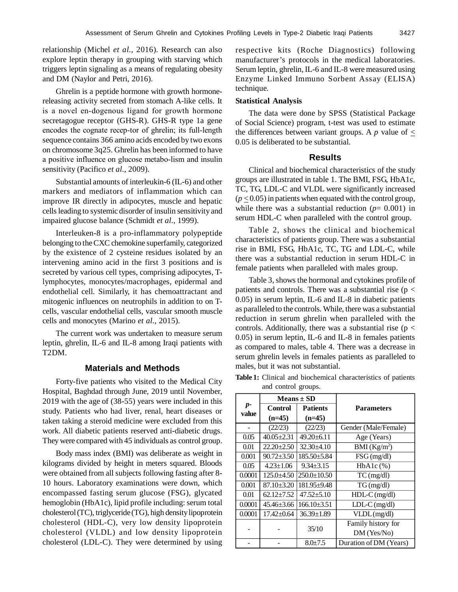relationship (Michel *et al.*, 2016). Research can also explore leptin therapy in grouping with starving which triggers leptin signaling as a means of regulating obesity and DM (Naylor and Petri, 2016).

Ghrelin is a peptide hormone with growth hormonereleasing activity secreted from stomach A-like cells. It is a novel en-dogenous ligand for growth hormone secretagogue receptor (GHS-R). GHS-R type 1a gene encodes the cognate recep-tor of ghrelin; its full-length sequence contains 366 amino acids encoded by two exons on chromosome 3q25. Ghrelin has been informed to have a positive influence on glucose metabo-lism and insulin sensitivity (Pacifico *et al.*, 2009).

Substantial amounts of interleukin-6 (IL-6) and other markers and mediators of inflammation which can improve IR directly in adipocytes, muscle and hepatic cells leading to systemic disorder of insulin sensitivity and impaired glucose balance (Schmidt *et al.*, 1999).

Interleuken-8 is a pro-inflammatory polypeptide belonging to the CXC chemokine superfamily, categorized by the existence of 2 cysteine residues isolated by an intervening amino acid in the first 3 positions and is secreted by various cell types, comprising adipocytes, Tlymphocytes, monocytes/macrophages, epidermal and endothelial cell. Similarly, it has chemoattractant and mitogenic influences on neutrophils in addition to on Tcells, vascular endothelial cells, vascular smooth muscle cells and monocytes (Marino *et al.*, 2015).

The current work was undertaken to measure serum leptin, ghrelin, IL-6 and IL-8 among Iraqi patients with T2DM.

## **Materials and Methods**

Forty-five patients who visited to the Medical City Hospital, Baghdad through June, 2019 until November, 2019 with the age of (38-55) years were included in this study. Patients who had liver, renal, heart diseases or taken taking a steroid medicine were excluded from this work. All diabetic patients reserved anti-diabetic drugs. They were compared with 45 individuals as control group.

Body mass index (BMI) was deliberate as weight in kilograms divided by height in meters squared. Bloods were obtained from all subjects following fasting after 8- 10 hours. Laboratory examinations were down, which encompassed fasting serum glucose (FSG), glycated hemoglobin (HbA1c), lipid profile including: serum total cholesterol (TC), triglyceride (TG), high density lipoprotein cholesterol (HDL-C), very low density lipoprotein cholesterol (VLDL) and low density lipoprotein cholesterol (LDL-C). They were determined by using respective kits (Roche Diagnostics) following manufacturer's protocols in the medical laboratories. Serum leptin, ghrelin, IL-6 and IL-8 were measured using Enzyme Linked Immuno Sorbent Assay (ELISA) technique.

#### **Statistical Analysis**

The data were done by SPSS (Statistical Package of Social Science) program, t-test was used to estimate the differences between variant groups. A  $p$  value of  $\lt$ 0.05 is deliberated to be substantial.

#### **Results**

Clinical and biochemical characteristics of the study groups are illustrated in table 1. The BMI, FSG, HbA1c, TC, TG, LDL-C and VLDL were significantly increased  $(p<0.05)$  in patients when equated with the control group, while there was a substantial reduction  $(p= 0.001)$  in serum HDL-C when paralleled with the control group.

Table 2, shows the clinical and biochemical characteristics of patients group. There was a substantial rise in BMI, FSG, HbA1c, TC, TG and LDL-C, while there was a substantial reduction in serum HDL-C in female patients when paralleled with males group.

Table 3, shows the hormonal and cytokines profile of patients and controls. There was a substantial rise ( $p <$ 0.05) in serum leptin, IL-6 and IL-8 in diabetic patients as paralleled to the controls. While, there was a substantial reduction in serum ghrelin when paralleled with the controls. Additionally, there was a substantial rise ( $p <$ 0.05) in serum leptin, IL-6 and IL-8 in females patients as compared to males, table 4. There was a decrease in serum ghrelin levels in females patients as paralleled to males, but it was not substantial.

**Table 1:** Clinical and biochemical characteristics of patients and control groups.

|             | $Means \pm SD$   |                   |                          |  |
|-------------|------------------|-------------------|--------------------------|--|
| p-<br>value | Control          | <b>Patients</b>   | <b>Parameters</b>        |  |
|             | $(n=45)$         | $(n=45)$          |                          |  |
|             | (22/23)          | (22/23)           | Gender (Male/Female)     |  |
| 0.05        | $40.05 + 2.31$   | $49.20 \pm 6.11$  | Age (Years)              |  |
| 0.01        | $22.20 \pm 2.50$ | $32.30 \pm 4.10$  | BMI (Kg/m <sup>2</sup> ) |  |
| 0.001       | $90.72 \pm 3.50$ | 185.50±5.84       | $FSG$ (mg/dl)            |  |
| 0.05        | $4.23 \pm 1.06$  | $9.34 + 3.15$     | $HbA1c$ (%)              |  |
| 0.0001      | $125.0 + 4.50$   | 250.0±10.50       | $TC$ (mg/dl)             |  |
| 0.001       | $87.10 + 3.20$   | $181.95 \pm 9.48$ | $TG$ (mg/dl)             |  |
| 0.01        | $62.12 + 7.52$   | $47.52 \pm 5.10$  | $HDL-C$ (mg/dl)          |  |
| 0.0001      | $45.46 \pm 3.66$ | $166.10\pm3.51$   | $LDL-C$ (mg/dl)          |  |
| 0.0001      | $17.42 + 0.64$   | $36.39 \pm 1.89$  | $VLDL$ (mg/dl)           |  |
|             |                  | 35/10             | Family history for       |  |
|             |                  |                   | DM (Yes/No)              |  |
|             |                  | $8.0 \pm 7.5$     | Duration of DM (Years)   |  |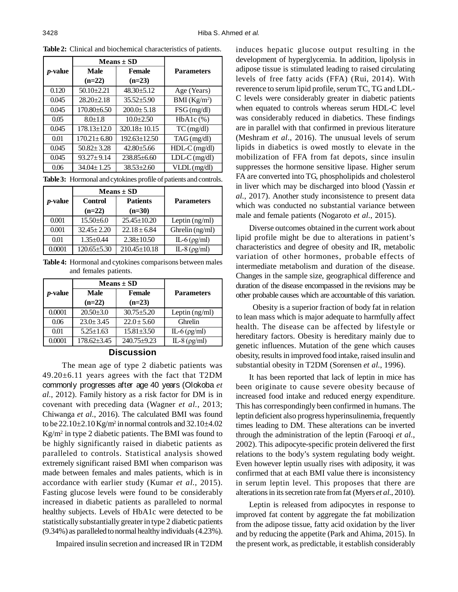|                 | $Means \pm SD$    |                    |                          |
|-----------------|-------------------|--------------------|--------------------------|
| <i>p</i> -value | Male              | <b>Female</b>      | <b>Parameters</b>        |
|                 | $(n=22)$          | $(n=23)$           |                          |
| 0.120           | $50.10 \pm 2.21$  | $48.30 + 5.12$     | Age (Years)              |
| 0.045           | $28.20 + 2.18$    | $35.52 + 5.90$     | BMI (Kg/m <sup>2</sup> ) |
| 0.045           | $170.80\pm 6.50$  | $200.0 \pm 5.18$   | FSG (mg/dl)              |
| 0.05            | $8.0 \pm 1.8$     | $10.0+2.50$        | $HbA1c$ $%$              |
| 0.045           | $178.13 \pm 12.0$ | $320.18 \pm 10.15$ | $TC$ (mg/dl)             |
| 0.01            | $170.21 \pm 6.80$ | $192.63 \pm 12.50$ | TAG (mg/dl)              |
| 0.045           | $50.82 \pm 3.28$  | $42.80 + 5.66$     | HDL-C (mg/dl)            |
| 0.045           | $93.27 \pm 9.14$  | $238.85 + 6.60$    | $LDL-C$ (mg/dl)          |
| 0.06            | $34.04 \pm 1.25$  | $38.53 \pm 2.60$   | $VLDL$ (mg/dl)           |

**Table 2:** Clinical and biochemical characteristics of patients.

**Table 3:** Hormonal and cytokines profile of patients and controls.

|                 | $Means \pm SD$   |                    |                    |
|-----------------|------------------|--------------------|--------------------|
| <i>p</i> -value | <b>Control</b>   | <b>Patients</b>    | <b>Parameters</b>  |
|                 | $(n=22)$         | $(n=30)$           |                    |
| 0.001           | $15.50 + 6.0$    | $25.45 \pm 10.20$  | Leptin $(ng/ml)$   |
| 0.001           | $32.45 \pm 2.20$ | $22.18 \pm 6.84$   | Ghrelin (ng/ml)    |
| 0.01            | $1.35 + 0.44$    | $2.38 \pm 10.50$   | $IL-6$ ( $pg/ml$ ) |
| 0.0001          | $120.65 + 5.30$  | $210.45 \pm 10.18$ | $IL-8$ ( $pg/ml$ ) |

**Table 4:** Hormonal and cytokines comparisons between males and females patients.

|                 | $Means \pm SD$  |                   |                    |
|-----------------|-----------------|-------------------|--------------------|
| <i>p</i> -value | <b>Male</b>     | <b>Female</b>     | <b>Parameters</b>  |
|                 | $(n=22)$        | $(n=23)$          |                    |
| 0.0001          | $20.50 \pm 3.0$ | $30.75 + 5.20$    | Leptin $(ng/ml)$   |
| 0.06            | $23.0 + 3.45$   | $22.0 \pm 5.60$   | Ghrelin            |
| 0.01            | $5.25 \pm 1.63$ | $15.81 \pm 3.50$  | $IL-6$ ( $pg/ml$ ) |
| 0.0001          | $178.62 + 3.45$ | $240.75 \pm 9.23$ | $IL-8$ ( $pg/ml$ ) |

#### **Discussion**

 The mean age of type 2 diabetic patients was 49.20±6.11 years agrees with the fact that T2DM commonly progresses after age 40 years (Olokoba *et al.*, 2012). Family history as a risk factor for DM is in covenant with preceding data (Wagner *et al.*, 2013; Chiwanga *et al.*, 2016). The calculated BMI was found to be  $22.10\pm2.10$  Kg/m<sup>2</sup> in normal controls and  $32.10\pm4.02$ Kg/m<sup>2</sup> in type 2 diabetic patients. The BMI was found to be highly significantly raised in diabetic patients as paralleled to controls. Statistical analysis showed extremely significant raised BMI when comparison was made between females and males patients, which is in accordance with earlier study (Kumar *et al.*, 2015). Fasting glucose levels were found to be considerably increased in diabetic patients as paralleled to normal healthy subjects. Levels of HbA1c were detected to be statistically substantially greater in type 2 diabetic patients (9.34%) as paralleled to normal healthy individuals (4.23%).

Impaired insulin secretion and increased IR in T2DM

induces hepatic glucose output resulting in the development of hyperglycemia. In addition, lipolysis in adipose tissue is stimulated leading to raised circulating levels of free fatty acids (FFA) (Rui, 2014). With reverence to serum lipid profile, serum TC, TG and LDL-C levels were considerably greater in diabetic patients when equated to controls whereas serum HDL-C level was considerably reduced in diabetics. These findings are in parallel with that confirmed in previous literature (Meshram *et al.*, 2016). The unusual levels of serum lipids in diabetics is owed mostly to elevate in the mobilization of FFA from fat depots, since insulin suppresses the hormone sensitive lipase. Higher serum FA are converted into TG, phospholipids and cholesterol in liver which may be discharged into blood (Yassin *et al.*, 2017). Another study inconsistence to present data which was conducted no substantial variance between male and female patients (Nogaroto *et al.*, 2015).

Diverse outcomes obtained in the current work about lipid profile might be due to alterations in patient's characteristics and degree of obesity and IR, metabolic variation of other hormones, probable effects of intermediate metabolism and duration of the disease. Changes in the sample size, geographical difference and duration of the disease encompassed in the revisions may be other probable causes which are accountable of this variation.

 Obesity is a superior fraction of body fat in relation to lean mass which is major adequate to harmfully affect health. The disease can be affected by lifestyle or hereditary factors. Obesity is hereditary mainly due to genetic influences. Mutation of the gene which causes obesity, results in improved food intake, raised insulin and substantial obesity in T2DM (Sorensen *et al.*, 1996).

It has been reported that lack of leptin in mice has been originate to cause severe obesity because of increased food intake and reduced energy expenditure. This has correspondingly been confirmed in humans. The leptin deficient also progress hyperinsulinemia, frequently times leading to DM. These alterations can be inverted through the administration of the leptin (Farooqi *et al.*, 2002). This adipocyte-specific protein delivered the first relations to the body's system regulating body weight. Even however leptin usually rises with adiposity, it was confirmed that at each BMI value there is inconsistency in serum leptin level. This proposes that there are alterations in its secretion rate from fat (Myers *et al.*, 2010).

Leptin is released from adipocytes in response to improved fat content by aggregate the fat mobilization from the adipose tissue, fatty acid oxidation by the liver and by reducing the appetite (Park and Ahima, 2015). In the present work, as predictable, it establish considerably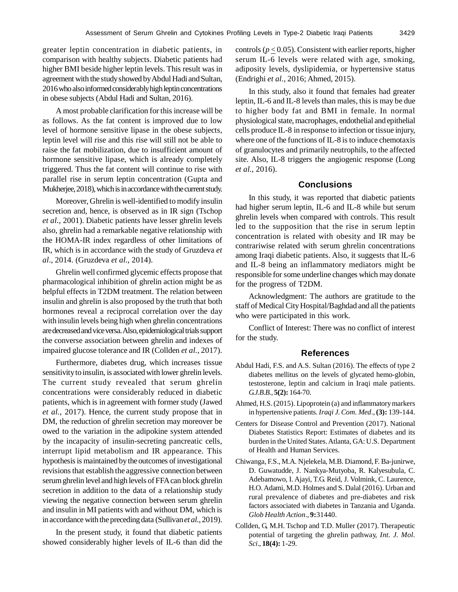greater leptin concentration in diabetic patients, in comparison with healthy subjects. Diabetic patients had higher BMI beside higher leptin levels. This result was in agreement with the study showed by Abdul Hadi and Sultan, 2016 who also informed considerably high leptin concentrations in obese subjects (Abdul Hadi and Sultan, 2016).

A most probable clarification for this increase will be as follows. As the fat content is improved due to low level of hormone sensitive lipase in the obese subjects, leptin level will rise and this rise will still not be able to raise the fat mobilization, due to insufficient amount of hormone sensitive lipase, which is already completely triggered. Thus the fat content will continue to rise with parallel rise in serum leptin concentration (Gupta and Mukherjee, 2018), which is in accordance with the current study.

Moreover, Ghrelin is well-identified to modify insulin secretion and, hence, is observed as in IR sign (Tschop *et al.*, 2001). Diabetic patients have lesser ghrelin levels also, ghrelin had a remarkable negative relationship with the HOMA-IR index regardless of other limitations of IR, which is in accordance with the study of Gruzdeva *et al*., 2014. (Gruzdeva *et al.*, 2014).

Ghrelin well confirmed glycemic effects propose that pharmacological inhibition of ghrelin action might be as helpful effects in T2DM treatment. The relation between insulin and ghrelin is also proposed by the truth that both hormones reveal a reciprocal correlation over the day with insulin levels being high when ghrelin concentrations are decreased and vice versa. Also, epidemiological trials support the converse association between ghrelin and indexes of impaired glucose tolerance and IR (Collden *et al.*, 2017).

Furthermore, diabetes drug, which increases tissue sensitivity to insulin, is associated with lower ghrelin levels. The current study revealed that serum ghrelin concentrations were considerably reduced in diabetic patients, which is in agreement with former study (Jawed *et al.*, 2017). Hence, the current study propose that in DM, the reduction of ghrelin secretion may moreover be owed to the variation in the adipokine system attended by the incapacity of insulin-secreting pancreatic cells, interrupt lipid metabolism and IR appearance. This hypothesis is maintained by the outcomes of investigational revisions that establish the aggressive connection between serum ghrelin level and high levels of FFA can block ghrelin secretion in addition to the data of a relationship study viewing the negative connection between serum ghrelin and insulin in MI patients with and without DM, which is in accordance with the preceding data (Sullivan *et al.*, 2019).

In the present study, it found that diabetic patients showed considerably higher levels of IL-6 than did the controls ( $p \le 0.05$ ). Consistent with earlier reports, higher serum IL-6 levels were related with age, smoking, adiposity levels, dyslipidemia, or hypertensive status (Endrighi *et al.*, 2016; Ahmed, 2015).

In this study, also it found that females had greater leptin, IL-6 and IL-8 levels than males, this is may be due to higher body fat and BMI in female. In normal physiological state, macrophages, endothelial and epithelial cells produce IL-8 in response to infection or tissue injury, where one of the functions of IL-8 is to induce chemotaxis of granulocytes and primarily neutrophils, to the affected site. Also, IL-8 triggers the angiogenic response (Long *et al.*, 2016).

## **Conclusions**

In this study, it was reported that diabetic patients had higher serum leptin, IL-6 and IL-8 while but serum ghrelin levels when compared with controls. This result led to the supposition that the rise in serum leptin concentration is related with obesity and IR may be contrariwise related with serum ghrelin concentrations among Iraqi diabetic patients. Also, it suggests that lL-6 and IL-8 being an inflammatory mediators might be responsible for some underline changes which may donate for the progress of T2DM.

Acknowledgment: The authors are gratitude to the staff of Medical City Hospital/Baghdad and all the patients who were participated in this work.

Conflict of Interest: There was no conflict of interest for the study.

### **References**

- Abdul Hadi, F.S. and A.S. Sultan (2016). The effects of type 2 diabetes mellitus on the levels of glycated hemo-globin, testosterone, leptin and calcium in Iraqi male patients. *G.J.B.B.,* **5(2):** 164-70.
- Ahmed, H.S. (2015). Lipoprotein (a) and inflammatory markers in hypertensive patients. *Iraqi J. Com. Med*., **(3):** 139-144.
- Centers for Disease Control and Prevention (2017). National Diabetes Statistics Report: Estimates of diabetes and its burden in the United States. Atlanta, GA: U.S. Department of Health and Human Services.
- Chiwanga, F.S., M.A. Njelekela, M.B. Diamond, F. Ba-junirwe, D. Guwatudde, J. Nankya-Mutyoba, R. Kalyesubula, C. Adebamowo, I. Ajayi, T.G. Reid, J. Volmink, C. Laurence, H.O. Adami, M.D. Holmes and S. Dalal (2016). Urban and rural prevalence of diabetes and pre-diabetes and risk factors associated with diabetes in Tanzania and Uganda. *Glob Health Action*., **9:**31440.
- Collden, G, M.H. Tschop and T.D. Muller (2017). Therapeutic potential of targeting the ghrelin pathway, *Int. J. Mol. Sci*., **18(4):** 1-29.